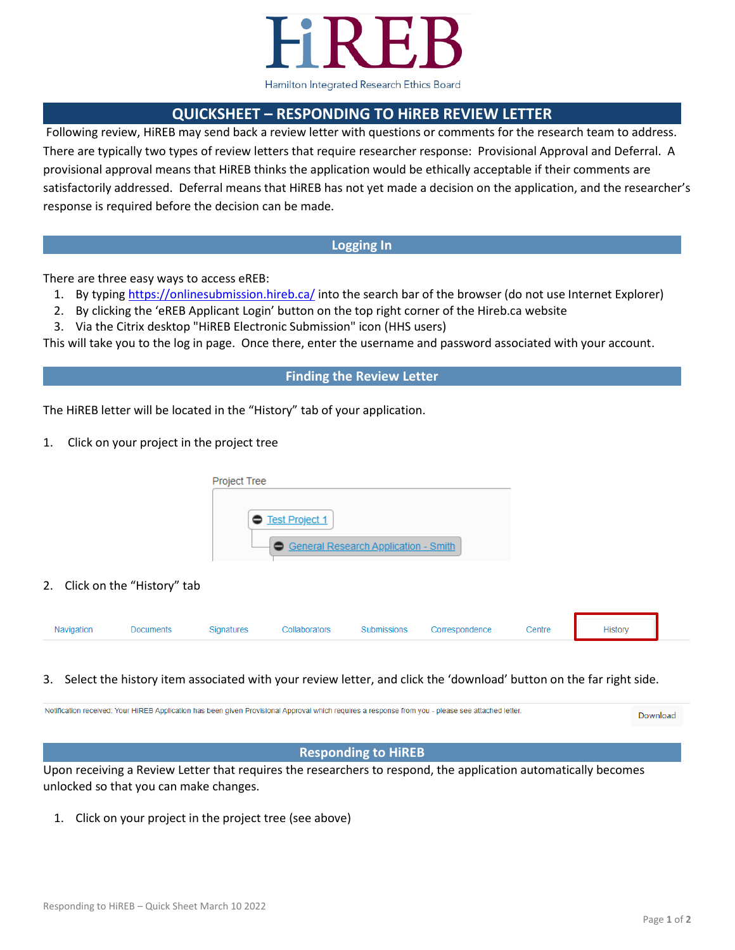

# **QUICKSHEET – RESPONDING TO HiREB REVIEW LETTER**

Following review, HiREB may send back a review letter with questions or comments for the research team to address. There are typically two types of review letters that require researcher response: Provisional Approval and Deferral. A provisional approval means that HiREB thinks the application would be ethically acceptable if their comments are satisfactorily addressed. Deferral means that HiREB has not yet made a decision on the application, and the researcher's response is required before the decision can be made.

## **Logging In**

There are three easy ways to access eREB:

- 1. By typing<https://onlinesubmission.hireb.ca/> into the search bar of the browser (do not use Internet Explorer)
- 2. By clicking the 'eREB Applicant Login' button on the top right corner of the Hireb.ca website
- 3. Via the Citrix desktop "HiREB Electronic Submission" icon (HHS users)

This will take you to the log in page. Once there, enter the username and password associated with your account.

### **Finding the Review Letter**

The HiREB letter will be located in the "History" tab of your application.

1. Click on your project in the project tree

| ● Test Project 1                     |  |
|--------------------------------------|--|
| General Research Application - Smith |  |

2. Click on the "History" tab

| Navigation | Documents | Signatures | Collaborators | Submissions Correspondence | Centre | History |  |
|------------|-----------|------------|---------------|----------------------------|--------|---------|--|
|            |           |            |               |                            |        |         |  |

#### 3. Select the history item associated with your review letter, and click the 'download' button on the far right side.

Notification received: Your HIREB Application has been given Provisional Approval which requires a response from you - please see attached letter Download

#### **Responding to HiREB**

Upon receiving a Review Letter that requires the researchers to respond, the application automatically becomes unlocked so that you can make changes.

1. Click on your project in the project tree (see above)